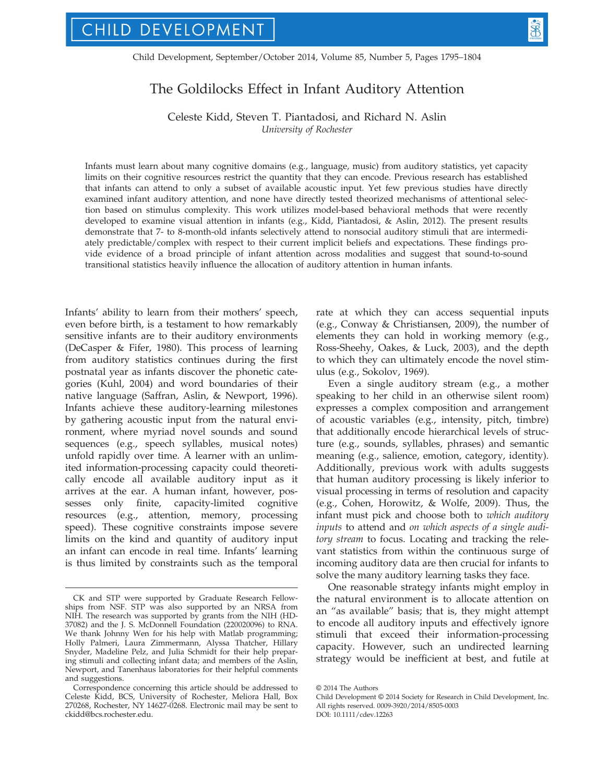# The Goldilocks Effect in Infant Auditory Attention

Celeste Kidd, Steven T. Piantadosi, and Richard N. Aslin University of Rochester

Infants must learn about many cognitive domains (e.g., language, music) from auditory statistics, yet capacity limits on their cognitive resources restrict the quantity that they can encode. Previous research has established that infants can attend to only a subset of available acoustic input. Yet few previous studies have directly examined infant auditory attention, and none have directly tested theorized mechanisms of attentional selection based on stimulus complexity. This work utilizes model-based behavioral methods that were recently developed to examine visual attention in infants (e.g., Kidd, Piantadosi, & Aslin, 2012). The present results demonstrate that 7- to 8-month-old infants selectively attend to nonsocial auditory stimuli that are intermediately predictable/complex with respect to their current implicit beliefs and expectations. These findings provide evidence of a broad principle of infant attention across modalities and suggest that sound-to-sound transitional statistics heavily influence the allocation of auditory attention in human infants.

Infants' ability to learn from their mothers' speech, even before birth, is a testament to how remarkably sensitive infants are to their auditory environments (DeCasper & Fifer, 1980). This process of learning from auditory statistics continues during the first postnatal year as infants discover the phonetic categories (Kuhl, 2004) and word boundaries of their native language (Saffran, Aslin, & Newport, 1996). Infants achieve these auditory-learning milestones by gathering acoustic input from the natural environment, where myriad novel sounds and sound sequences (e.g., speech syllables, musical notes) unfold rapidly over time. A learner with an unlimited information-processing capacity could theoretically encode all available auditory input as it arrives at the ear. A human infant, however, possesses only finite, capacity-limited cognitive resources (e.g., attention, memory, processing speed). These cognitive constraints impose severe limits on the kind and quantity of auditory input an infant can encode in real time. Infants' learning is thus limited by constraints such as the temporal

rate at which they can access sequential inputs (e.g., Conway & Christiansen, 2009), the number of elements they can hold in working memory (e.g., Ross-Sheehy, Oakes, & Luck, 2003), and the depth to which they can ultimately encode the novel stimulus (e.g., Sokolov, 1969).

Even a single auditory stream (e.g., a mother speaking to her child in an otherwise silent room) expresses a complex composition and arrangement of acoustic variables (e.g., intensity, pitch, timbre) that additionally encode hierarchical levels of structure (e.g., sounds, syllables, phrases) and semantic meaning (e.g., salience, emotion, category, identity). Additionally, previous work with adults suggests that human auditory processing is likely inferior to visual processing in terms of resolution and capacity (e.g., Cohen, Horowitz, & Wolfe, 2009). Thus, the infant must pick and choose both to which auditory inputs to attend and on which aspects of a single auditory stream to focus. Locating and tracking the relevant statistics from within the continuous surge of incoming auditory data are then crucial for infants to solve the many auditory learning tasks they face.

One reasonable strategy infants might employ in the natural environment is to allocate attention on an "as available" basis; that is, they might attempt to encode all auditory inputs and effectively ignore stimuli that exceed their information-processing capacity. However, such an undirected learning strategy would be inefficient at best, and futile at

CK and STP were supported by Graduate Research Fellowships from NSF. STP was also supported by an NRSA from NIH. The research was supported by grants from the NIH (HD-37082) and the J. S. McDonnell Foundation (220020096) to RNA. We thank Johnny Wen for his help with Matlab programming; Holly Palmeri, Laura Zimmermann, Alyssa Thatcher, Hillary Snyder, Madeline Pelz, and Julia Schmidt for their help preparing stimuli and collecting infant data; and members of the Aslin, Newport, and Tanenhaus laboratories for their helpful comments and suggestions.

Correspondence concerning this article should be addressed to Celeste Kidd, BCS, University of Rochester, Meliora Hall, Box 270268, Rochester, NY 14627-0268. Electronic mail may be sent to ckidd@bcs.rochester.edu.

<sup>©</sup> 2014 The Authors

Child Development © 2014 Society for Research in Child Development, Inc. All rights reserved. 0009-3920/2014/8505-0003 DOI: 10.1111/cdev.12263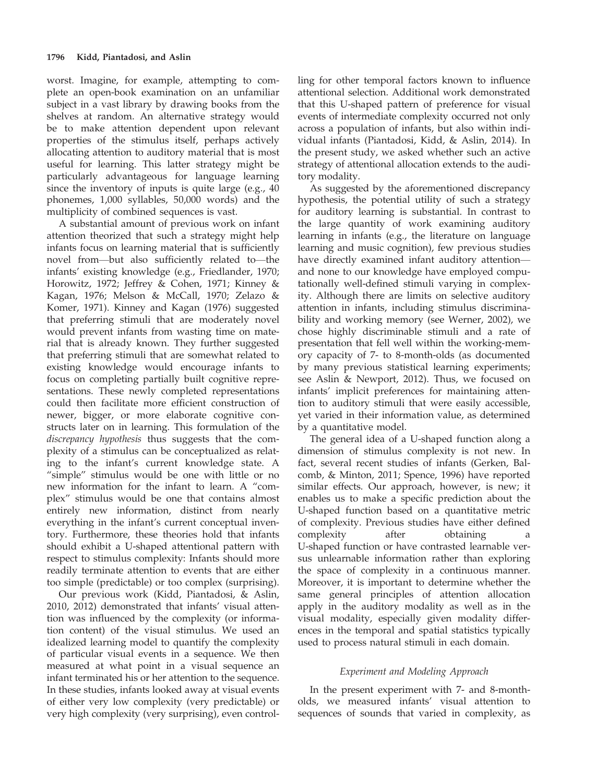worst. Imagine, for example, attempting to complete an open-book examination on an unfamiliar subject in a vast library by drawing books from the shelves at random. An alternative strategy would be to make attention dependent upon relevant properties of the stimulus itself, perhaps actively allocating attention to auditory material that is most useful for learning. This latter strategy might be particularly advantageous for language learning since the inventory of inputs is quite large (e.g., 40 phonemes, 1,000 syllables, 50,000 words) and the multiplicity of combined sequences is vast.

A substantial amount of previous work on infant attention theorized that such a strategy might help infants focus on learning material that is sufficiently novel from—but also sufficiently related to—the infants' existing knowledge (e.g., Friedlander, 1970; Horowitz, 1972; Jeffrey & Cohen, 1971; Kinney & Kagan, 1976; Melson & McCall, 1970; Zelazo & Komer, 1971). Kinney and Kagan (1976) suggested that preferring stimuli that are moderately novel would prevent infants from wasting time on material that is already known. They further suggested that preferring stimuli that are somewhat related to existing knowledge would encourage infants to focus on completing partially built cognitive representations. These newly completed representations could then facilitate more efficient construction of newer, bigger, or more elaborate cognitive constructs later on in learning. This formulation of the discrepancy hypothesis thus suggests that the complexity of a stimulus can be conceptualized as relating to the infant's current knowledge state. A "simple" stimulus would be one with little or no new information for the infant to learn. A "complex" stimulus would be one that contains almost entirely new information, distinct from nearly everything in the infant's current conceptual inventory. Furthermore, these theories hold that infants should exhibit a U-shaped attentional pattern with respect to stimulus complexity: Infants should more readily terminate attention to events that are either too simple (predictable) or too complex (surprising).

Our previous work (Kidd, Piantadosi, & Aslin, 2010, 2012) demonstrated that infants' visual attention was influenced by the complexity (or information content) of the visual stimulus. We used an idealized learning model to quantify the complexity of particular visual events in a sequence. We then measured at what point in a visual sequence an infant terminated his or her attention to the sequence. In these studies, infants looked away at visual events of either very low complexity (very predictable) or very high complexity (very surprising), even controlling for other temporal factors known to influence attentional selection. Additional work demonstrated that this U-shaped pattern of preference for visual events of intermediate complexity occurred not only across a population of infants, but also within individual infants (Piantadosi, Kidd, & Aslin, 2014). In the present study, we asked whether such an active strategy of attentional allocation extends to the auditory modality.

As suggested by the aforementioned discrepancy hypothesis, the potential utility of such a strategy for auditory learning is substantial. In contrast to the large quantity of work examining auditory learning in infants (e.g., the literature on language learning and music cognition), few previous studies have directly examined infant auditory attention and none to our knowledge have employed computationally well-defined stimuli varying in complexity. Although there are limits on selective auditory attention in infants, including stimulus discriminability and working memory (see Werner, 2002), we chose highly discriminable stimuli and a rate of presentation that fell well within the working-memory capacity of 7- to 8-month-olds (as documented by many previous statistical learning experiments; see Aslin & Newport, 2012). Thus, we focused on infants' implicit preferences for maintaining attention to auditory stimuli that were easily accessible, yet varied in their information value, as determined by a quantitative model.

The general idea of a U-shaped function along a dimension of stimulus complexity is not new. In fact, several recent studies of infants (Gerken, Balcomb, & Minton, 2011; Spence, 1996) have reported similar effects. Our approach, however, is new; it enables us to make a specific prediction about the U-shaped function based on a quantitative metric of complexity. Previous studies have either defined complexity after obtaining a U-shaped function or have contrasted learnable versus unlearnable information rather than exploring the space of complexity in a continuous manner. Moreover, it is important to determine whether the same general principles of attention allocation apply in the auditory modality as well as in the visual modality, especially given modality differences in the temporal and spatial statistics typically used to process natural stimuli in each domain.

### Experiment and Modeling Approach

In the present experiment with 7- and 8-montholds, we measured infants' visual attention to sequences of sounds that varied in complexity, as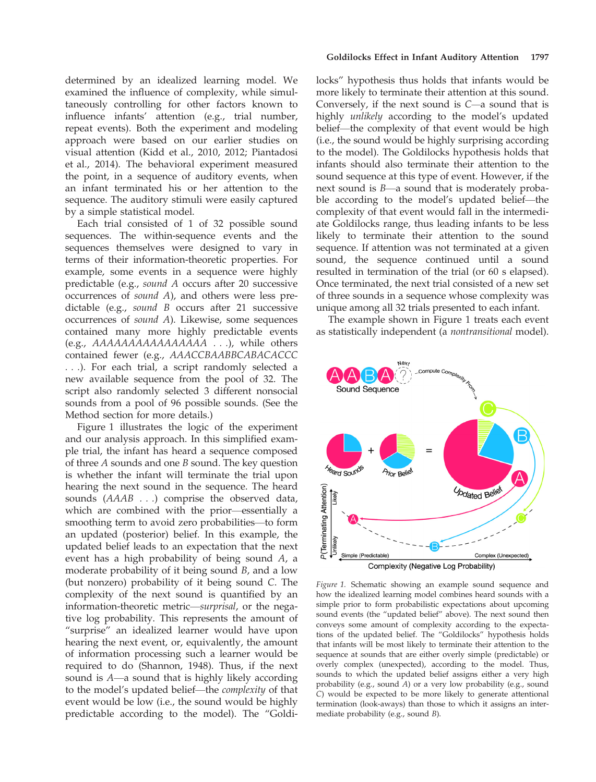determined by an idealized learning model. We examined the influence of complexity, while simultaneously controlling for other factors known to influence infants' attention (e.g., trial number, repeat events). Both the experiment and modeling approach were based on our earlier studies on visual attention (Kidd et al., 2010, 2012; Piantadosi et al., 2014). The behavioral experiment measured the point, in a sequence of auditory events, when an infant terminated his or her attention to the sequence. The auditory stimuli were easily captured by a simple statistical model.

Each trial consisted of 1 of 32 possible sound sequences. The within-sequence events and the sequences themselves were designed to vary in terms of their information-theoretic properties. For example, some events in a sequence were highly predictable (e.g., sound A occurs after 20 successive occurrences of sound A), and others were less predictable (e.g., sound B occurs after 21 successive occurrences of sound A). Likewise, some sequences contained many more highly predictable events (e.g., AAAAAAAAAAAAAAAA . . .), while others contained fewer (e.g., AAACCBAABBCABACACCC ...). For each trial, a script randomly selected a new available sequence from the pool of 32. The script also randomly selected 3 different nonsocial sounds from a pool of 96 possible sounds. (See the Method section for more details.)

Figure 1 illustrates the logic of the experiment and our analysis approach. In this simplified example trial, the infant has heard a sequence composed of three A sounds and one B sound. The key question is whether the infant will terminate the trial upon hearing the next sound in the sequence. The heard sounds (AAAB . . .) comprise the observed data, which are combined with the prior—essentially a smoothing term to avoid zero probabilities—to form an updated (posterior) belief. In this example, the updated belief leads to an expectation that the next event has a high probability of being sound A, a moderate probability of it being sound B, and a low (but nonzero) probability of it being sound C. The complexity of the next sound is quantified by an information-theoretic metric—surprisal, or the negative log probability. This represents the amount of "surprise" an idealized learner would have upon hearing the next event, or, equivalently, the amount of information processing such a learner would be required to do (Shannon, 1948). Thus, if the next sound is A—a sound that is highly likely according to the model's updated belief—the complexity of that event would be low (i.e., the sound would be highly predictable according to the model). The "Goldilocks" hypothesis thus holds that infants would be more likely to terminate their attention at this sound. Conversely, if the next sound is C—a sound that is highly *unlikely* according to the model's updated belief—the complexity of that event would be high (i.e., the sound would be highly surprising according to the model). The Goldilocks hypothesis holds that infants should also terminate their attention to the sound sequence at this type of event. However, if the next sound is B—a sound that is moderately probable according to the model's updated belief—the complexity of that event would fall in the intermediate Goldilocks range, thus leading infants to be less likely to terminate their attention to the sound sequence. If attention was not terminated at a given sound, the sequence continued until a sound resulted in termination of the trial (or 60 s elapsed). Once terminated, the next trial consisted of a new set of three sounds in a sequence whose complexity was unique among all 32 trials presented to each infant.

The example shown in Figure 1 treats each event as statistically independent (a nontransitional model).



Figure 1. Schematic showing an example sound sequence and how the idealized learning model combines heard sounds with a simple prior to form probabilistic expectations about upcoming sound events (the "updated belief" above). The next sound then conveys some amount of complexity according to the expectations of the updated belief. The "Goldilocks" hypothesis holds that infants will be most likely to terminate their attention to the sequence at sounds that are either overly simple (predictable) or overly complex (unexpected), according to the model. Thus, sounds to which the updated belief assigns either a very high probability (e.g., sound A) or a very low probability (e.g., sound C) would be expected to be more likely to generate attentional termination (look-aways) than those to which it assigns an intermediate probability (e.g., sound B).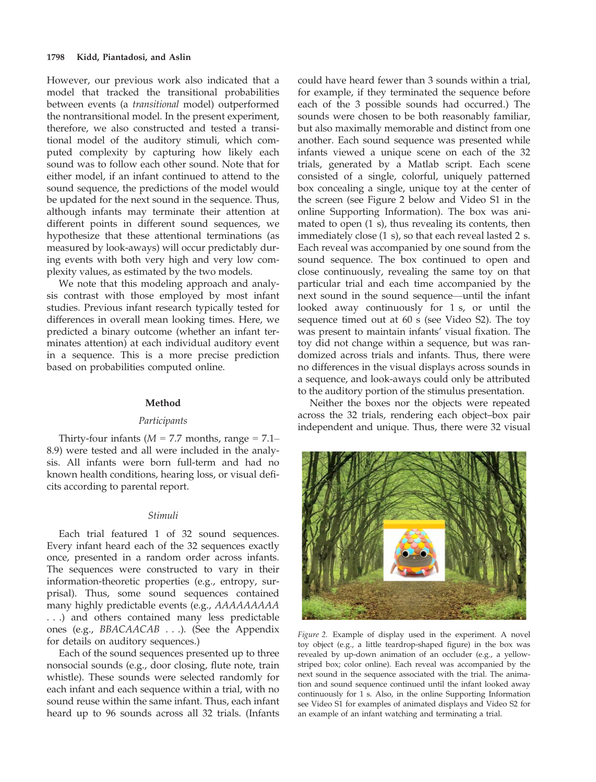However, our previous work also indicated that a model that tracked the transitional probabilities between events (a transitional model) outperformed the nontransitional model. In the present experiment, therefore, we also constructed and tested a transitional model of the auditory stimuli, which computed complexity by capturing how likely each sound was to follow each other sound. Note that for either model, if an infant continued to attend to the sound sequence, the predictions of the model would be updated for the next sound in the sequence. Thus, although infants may terminate their attention at different points in different sound sequences, we hypothesize that these attentional terminations (as measured by look-aways) will occur predictably during events with both very high and very low complexity values, as estimated by the two models.

We note that this modeling approach and analysis contrast with those employed by most infant studies. Previous infant research typically tested for differences in overall mean looking times. Here, we predicted a binary outcome (whether an infant terminates attention) at each individual auditory event in a sequence. This is a more precise prediction based on probabilities computed online.

#### Method

#### Participants

Thirty-four infants ( $M = 7.7$  months, range = 7.1– 8.9) were tested and all were included in the analysis. All infants were born full-term and had no known health conditions, hearing loss, or visual deficits according to parental report.

#### Stimuli

Each trial featured 1 of 32 sound sequences. Every infant heard each of the 32 sequences exactly once, presented in a random order across infants. The sequences were constructed to vary in their information-theoretic properties (e.g., entropy, surprisal). Thus, some sound sequences contained many highly predictable events (e.g., AAAAAAAAA . . .) and others contained many less predictable ones (e.g., BBACAACAB . . .). (See the Appendix for details on auditory sequences.)

Each of the sound sequences presented up to three nonsocial sounds (e.g., door closing, flute note, train whistle). These sounds were selected randomly for each infant and each sequence within a trial, with no sound reuse within the same infant. Thus, each infant heard up to 96 sounds across all 32 trials. (Infants

could have heard fewer than 3 sounds within a trial, for example, if they terminated the sequence before each of the 3 possible sounds had occurred.) The sounds were chosen to be both reasonably familiar, but also maximally memorable and distinct from one another. Each sound sequence was presented while infants viewed a unique scene on each of the 32 trials, generated by a Matlab script. Each scene consisted of a single, colorful, uniquely patterned box concealing a single, unique toy at the center of the screen (see Figure 2 below and Video S1 in the online Supporting Information). The box was animated to open (1 s), thus revealing its contents, then immediately close (1 s), so that each reveal lasted 2 s. Each reveal was accompanied by one sound from the sound sequence. The box continued to open and close continuously, revealing the same toy on that particular trial and each time accompanied by the next sound in the sound sequence—until the infant looked away continuously for 1 s, or until the sequence timed out at 60 s (see Video S2). The toy was present to maintain infants' visual fixation. The toy did not change within a sequence, but was randomized across trials and infants. Thus, there were no differences in the visual displays across sounds in a sequence, and look-aways could only be attributed to the auditory portion of the stimulus presentation.

Neither the boxes nor the objects were repeated across the 32 trials, rendering each object–box pair independent and unique. Thus, there were 32 visual



Figure 2. Example of display used in the experiment. A novel toy object (e.g., a little teardrop-shaped figure) in the box was revealed by up-down animation of an occluder (e.g., a yellowstriped box; color online). Each reveal was accompanied by the next sound in the sequence associated with the trial. The animation and sound sequence continued until the infant looked away continuously for 1 s. Also, in the online Supporting Information see Video S1 for examples of animated displays and Video S2 for an example of an infant watching and terminating a trial.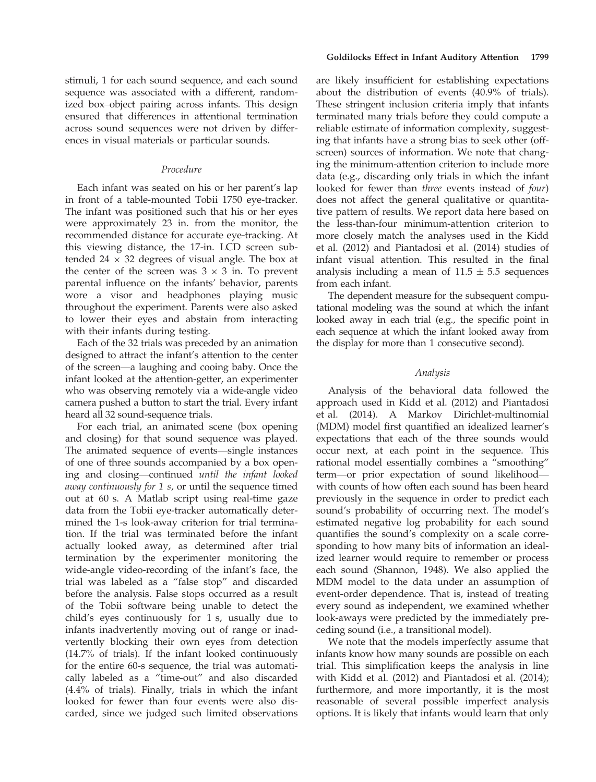stimuli, 1 for each sound sequence, and each sound sequence was associated with a different, randomized box–object pairing across infants. This design ensured that differences in attentional termination across sound sequences were not driven by differences in visual materials or particular sounds.

#### Procedure

Each infant was seated on his or her parent's lap in front of a table-mounted Tobii 1750 eye-tracker. The infant was positioned such that his or her eyes were approximately 23 in. from the monitor, the recommended distance for accurate eye-tracking. At this viewing distance, the 17-in. LCD screen subtended  $24 \times 32$  degrees of visual angle. The box at the center of the screen was  $3 \times 3$  in. To prevent parental influence on the infants' behavior, parents wore a visor and headphones playing music throughout the experiment. Parents were also asked to lower their eyes and abstain from interacting with their infants during testing.

Each of the 32 trials was preceded by an animation designed to attract the infant's attention to the center of the screen—a laughing and cooing baby. Once the infant looked at the attention-getter, an experimenter who was observing remotely via a wide-angle video camera pushed a button to start the trial. Every infant heard all 32 sound-sequence trials.

For each trial, an animated scene (box opening and closing) for that sound sequence was played. The animated sequence of events—single instances of one of three sounds accompanied by a box opening and closing—continued until the infant looked away continuously for 1 s, or until the sequence timed out at 60 s. A Matlab script using real-time gaze data from the Tobii eye-tracker automatically determined the 1-s look-away criterion for trial termination. If the trial was terminated before the infant actually looked away, as determined after trial termination by the experimenter monitoring the wide-angle video-recording of the infant's face, the trial was labeled as a "false stop" and discarded before the analysis. False stops occurred as a result of the Tobii software being unable to detect the child's eyes continuously for 1 s, usually due to infants inadvertently moving out of range or inadvertently blocking their own eyes from detection (14.7% of trials). If the infant looked continuously for the entire 60-s sequence, the trial was automatically labeled as a "time-out" and also discarded (4.4% of trials). Finally, trials in which the infant looked for fewer than four events were also discarded, since we judged such limited observations

are likely insufficient for establishing expectations about the distribution of events (40.9% of trials). These stringent inclusion criteria imply that infants terminated many trials before they could compute a reliable estimate of information complexity, suggesting that infants have a strong bias to seek other (offscreen) sources of information. We note that changing the minimum-attention criterion to include more data (e.g., discarding only trials in which the infant looked for fewer than three events instead of four) does not affect the general qualitative or quantitative pattern of results. We report data here based on the less-than-four minimum-attention criterion to more closely match the analyses used in the Kidd et al. (2012) and Piantadosi et al. (2014) studies of infant visual attention. This resulted in the final analysis including a mean of  $11.5 \pm 5.5$  sequences from each infant.

The dependent measure for the subsequent computational modeling was the sound at which the infant looked away in each trial (e.g., the specific point in each sequence at which the infant looked away from the display for more than 1 consecutive second).

#### Analysis

Analysis of the behavioral data followed the approach used in Kidd et al. (2012) and Piantadosi et al. (2014). A Markov Dirichlet-multinomial (MDM) model first quantified an idealized learner's expectations that each of the three sounds would occur next, at each point in the sequence. This rational model essentially combines a "smoothing" term—or prior expectation of sound likelihood with counts of how often each sound has been heard previously in the sequence in order to predict each sound's probability of occurring next. The model's estimated negative log probability for each sound quantifies the sound's complexity on a scale corresponding to how many bits of information an idealized learner would require to remember or process each sound (Shannon, 1948). We also applied the MDM model to the data under an assumption of event-order dependence. That is, instead of treating every sound as independent, we examined whether look-aways were predicted by the immediately preceding sound (i.e., a transitional model).

We note that the models imperfectly assume that infants know how many sounds are possible on each trial. This simplification keeps the analysis in line with Kidd et al. (2012) and Piantadosi et al. (2014); furthermore, and more importantly, it is the most reasonable of several possible imperfect analysis options. It is likely that infants would learn that only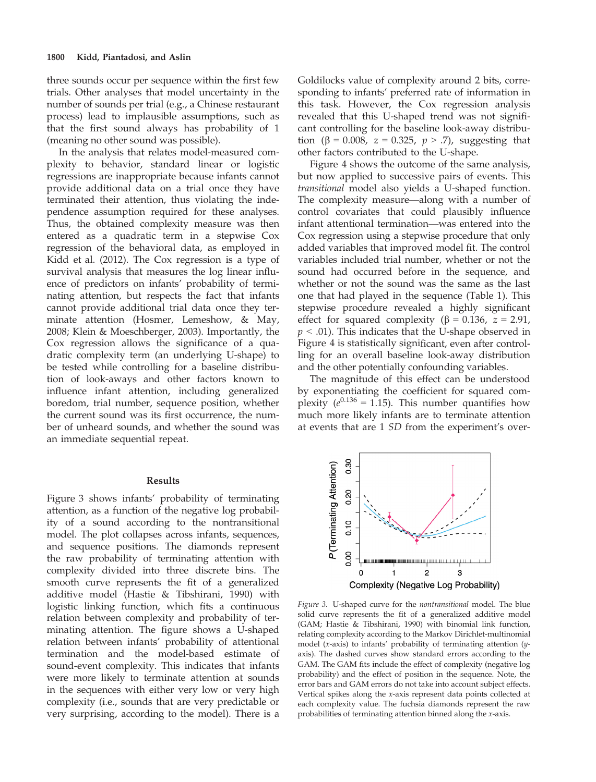three sounds occur per sequence within the first few trials. Other analyses that model uncertainty in the number of sounds per trial (e.g., a Chinese restaurant process) lead to implausible assumptions, such as that the first sound always has probability of 1 (meaning no other sound was possible).

In the analysis that relates model-measured complexity to behavior, standard linear or logistic regressions are inappropriate because infants cannot provide additional data on a trial once they have terminated their attention, thus violating the independence assumption required for these analyses. Thus, the obtained complexity measure was then entered as a quadratic term in a stepwise Cox regression of the behavioral data, as employed in Kidd et al. (2012). The Cox regression is a type of survival analysis that measures the log linear influence of predictors on infants' probability of terminating attention, but respects the fact that infants cannot provide additional trial data once they terminate attention (Hosmer, Lemeshow, & May, 2008; Klein & Moeschberger, 2003). Importantly, the Cox regression allows the significance of a quadratic complexity term (an underlying U-shape) to be tested while controlling for a baseline distribution of look-aways and other factors known to influence infant attention, including generalized boredom, trial number, sequence position, whether the current sound was its first occurrence, the number of unheard sounds, and whether the sound was an immediate sequential repeat.

#### Results

Figure 3 shows infants' probability of terminating attention, as a function of the negative log probability of a sound according to the nontransitional model. The plot collapses across infants, sequences, and sequence positions. The diamonds represent the raw probability of terminating attention with complexity divided into three discrete bins. The smooth curve represents the fit of a generalized additive model (Hastie & Tibshirani, 1990) with logistic linking function, which fits a continuous relation between complexity and probability of terminating attention. The figure shows a U-shaped relation between infants' probability of attentional termination and the model-based estimate of sound-event complexity. This indicates that infants were more likely to terminate attention at sounds in the sequences with either very low or very high complexity (i.e., sounds that are very predictable or very surprising, according to the model). There is a

Goldilocks value of complexity around 2 bits, corresponding to infants' preferred rate of information in this task. However, the Cox regression analysis revealed that this U-shaped trend was not significant controlling for the baseline look-away distribution ( $\beta = 0.008$ ,  $z = 0.325$ ,  $p > .7$ ), suggesting that other factors contributed to the U-shape.

Figure 4 shows the outcome of the same analysis, but now applied to successive pairs of events. This transitional model also yields a U-shaped function. The complexity measure—along with a number of control covariates that could plausibly influence infant attentional termination—was entered into the Cox regression using a stepwise procedure that only added variables that improved model fit. The control variables included trial number, whether or not the sound had occurred before in the sequence, and whether or not the sound was the same as the last one that had played in the sequence (Table 1). This stepwise procedure revealed a highly significant effect for squared complexity ( $\beta$  = 0.136,  $z$  = 2.91,  $p < .01$ ). This indicates that the U-shape observed in Figure 4 is statistically significant, even after controlling for an overall baseline look-away distribution and the other potentially confounding variables.

The magnitude of this effect can be understood by exponentiating the coefficient for squared complexity ( $e^{0.136}$  = 1.15). This number quantifies how much more likely infants are to terminate attention at events that are 1 SD from the experiment's over-



Figure 3. U-shaped curve for the nontransitional model. The blue solid curve represents the fit of a generalized additive model (GAM; Hastie & Tibshirani, 1990) with binomial link function, relating complexity according to the Markov Dirichlet-multinomial model (x-axis) to infants' probability of terminating attention (yaxis). The dashed curves show standard errors according to the GAM. The GAM fits include the effect of complexity (negative log probability) and the effect of position in the sequence. Note, the error bars and GAM errors do not take into account subject effects. Vertical spikes along the x-axis represent data points collected at each complexity value. The fuchsia diamonds represent the raw probabilities of terminating attention binned along the x-axis.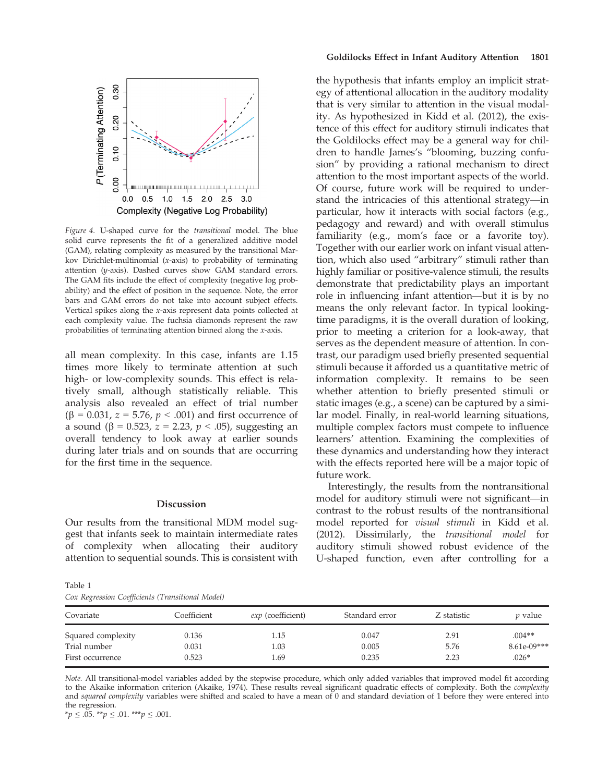

Figure 4. U-shaped curve for the transitional model. The blue solid curve represents the fit of a generalized additive model (GAM), relating complexity as measured by the transitional Markov Dirichlet-multinomial (x-axis) to probability of terminating attention (y-axis). Dashed curves show GAM standard errors. The GAM fits include the effect of complexity (negative log probability) and the effect of position in the sequence. Note, the error bars and GAM errors do not take into account subject effects. Vertical spikes along the x-axis represent data points collected at each complexity value. The fuchsia diamonds represent the raw probabilities of terminating attention binned along the x-axis.

all mean complexity. In this case, infants are 1.15 times more likely to terminate attention at such high- or low-complexity sounds. This effect is relatively small, although statistically reliable. This analysis also revealed an effect of trial number  $(\beta = 0.031, z = 5.76, p < .001)$  and first occurrence of a sound ( $\beta = 0.523$ ,  $z = 2.23$ ,  $p < .05$ ), suggesting an overall tendency to look away at earlier sounds during later trials and on sounds that are occurring for the first time in the sequence.

#### Discussion

Our results from the transitional MDM model suggest that infants seek to maintain intermediate rates of complexity when allocating their auditory attention to sequential sounds. This is consistent with

Goldilocks Effect in Infant Auditory Attention 1801

the hypothesis that infants employ an implicit strategy of attentional allocation in the auditory modality that is very similar to attention in the visual modality. As hypothesized in Kidd et al. (2012), the existence of this effect for auditory stimuli indicates that the Goldilocks effect may be a general way for children to handle James's "blooming, buzzing confusion" by providing a rational mechanism to direct attention to the most important aspects of the world. Of course, future work will be required to understand the intricacies of this attentional strategy—in particular, how it interacts with social factors (e.g., pedagogy and reward) and with overall stimulus familiarity (e.g., mom's face or a favorite toy). Together with our earlier work on infant visual attention, which also used "arbitrary" stimuli rather than highly familiar or positive-valence stimuli, the results demonstrate that predictability plays an important role in influencing infant attention—but it is by no means the only relevant factor. In typical lookingtime paradigms, it is the overall duration of looking, prior to meeting a criterion for a look-away, that serves as the dependent measure of attention. In contrast, our paradigm used briefly presented sequential stimuli because it afforded us a quantitative metric of information complexity. It remains to be seen whether attention to briefly presented stimuli or static images (e.g., a scene) can be captured by a similar model. Finally, in real-world learning situations, multiple complex factors must compete to influence learners' attention. Examining the complexities of these dynamics and understanding how they interact with the effects reported here will be a major topic of future work.

Interestingly, the results from the nontransitional model for auditory stimuli were not significant—in contrast to the robust results of the nontransitional model reported for visual stimuli in Kidd et al. (2012). Dissimilarly, the transitional model for auditory stimuli showed robust evidence of the U-shaped function, even after controlling for a

Table 1 Cox Regression Coefficients (Transitional Model)

| Covariate          | Coefficient | exp (coefficient) | Standard error | Z statistic | <i>p</i> value |
|--------------------|-------------|-------------------|----------------|-------------|----------------|
| Squared complexity | 0.136       | 1.15              | 0.047          | 2.91        | $.004**$       |
| Trial number       | 0.031       | 1.03              | 0.005          | 5.76        | 8.61e-09***    |
| First occurrence   | 0.523       | 1.69              | 0.235          | 2.23        | $.026*$        |

Note. All transitional-model variables added by the stepwise procedure, which only added variables that improved model fit according to the Akaike information criterion (Akaike, 1974). These results reveal significant quadratic effects of complexity. Both the *complexity* and squared complexity variables were shifted and scaled to have a mean of  $0$  and standard deviation of 1 before they were entered into the regression.

 $*_p \leq .05.$  \*\*p  $\leq .01.$  \*\*\*p  $\leq .001.$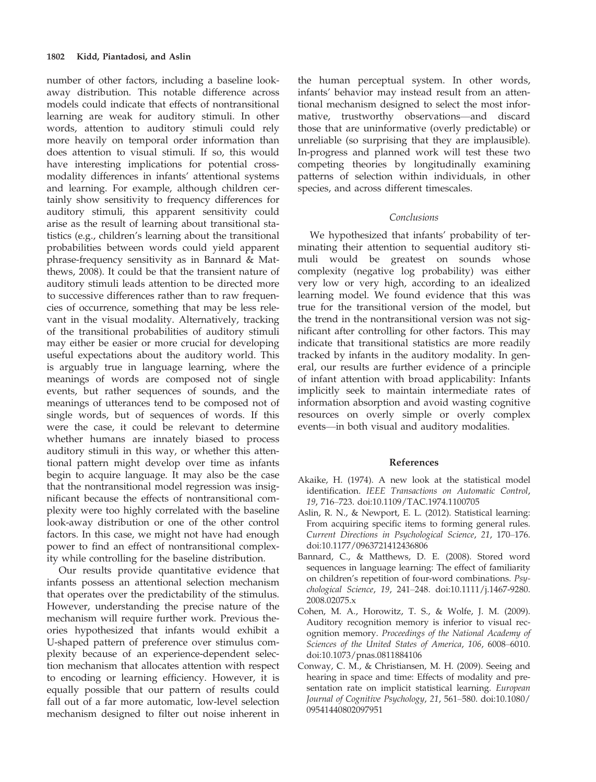number of other factors, including a baseline lookaway distribution. This notable difference across models could indicate that effects of nontransitional learning are weak for auditory stimuli. In other words, attention to auditory stimuli could rely more heavily on temporal order information than does attention to visual stimuli. If so, this would have interesting implications for potential crossmodality differences in infants' attentional systems and learning. For example, although children certainly show sensitivity to frequency differences for auditory stimuli, this apparent sensitivity could arise as the result of learning about transitional statistics (e.g., children's learning about the transitional probabilities between words could yield apparent phrase-frequency sensitivity as in Bannard & Matthews, 2008). It could be that the transient nature of auditory stimuli leads attention to be directed more to successive differences rather than to raw frequencies of occurrence, something that may be less relevant in the visual modality. Alternatively, tracking of the transitional probabilities of auditory stimuli may either be easier or more crucial for developing useful expectations about the auditory world. This is arguably true in language learning, where the meanings of words are composed not of single events, but rather sequences of sounds, and the meanings of utterances tend to be composed not of single words, but of sequences of words. If this were the case, it could be relevant to determine whether humans are innately biased to process auditory stimuli in this way, or whether this attentional pattern might develop over time as infants begin to acquire language. It may also be the case that the nontransitional model regression was insignificant because the effects of nontransitional complexity were too highly correlated with the baseline look-away distribution or one of the other control factors. In this case, we might not have had enough power to find an effect of nontransitional complexity while controlling for the baseline distribution.

Our results provide quantitative evidence that infants possess an attentional selection mechanism that operates over the predictability of the stimulus. However, understanding the precise nature of the mechanism will require further work. Previous theories hypothesized that infants would exhibit a U-shaped pattern of preference over stimulus complexity because of an experience-dependent selection mechanism that allocates attention with respect to encoding or learning efficiency. However, it is equally possible that our pattern of results could fall out of a far more automatic, low-level selection mechanism designed to filter out noise inherent in the human perceptual system. In other words, infants' behavior may instead result from an attentional mechanism designed to select the most informative, trustworthy observations—and discard those that are uninformative (overly predictable) or unreliable (so surprising that they are implausible). In-progress and planned work will test these two competing theories by longitudinally examining patterns of selection within individuals, in other species, and across different timescales.

#### Conclusions

We hypothesized that infants' probability of terminating their attention to sequential auditory stimuli would be greatest on sounds whose complexity (negative log probability) was either very low or very high, according to an idealized learning model. We found evidence that this was true for the transitional version of the model, but the trend in the nontransitional version was not significant after controlling for other factors. This may indicate that transitional statistics are more readily tracked by infants in the auditory modality. In general, our results are further evidence of a principle of infant attention with broad applicability: Infants implicitly seek to maintain intermediate rates of information absorption and avoid wasting cognitive resources on overly simple or overly complex events—in both visual and auditory modalities.

#### References

- Akaike, H. (1974). A new look at the statistical model identification. IEEE Transactions on Automatic Control, 19, 716–723. doi:10.1109/TAC.1974.1100705
- Aslin, R. N., & Newport, E. L. (2012). Statistical learning: From acquiring specific items to forming general rules. Current Directions in Psychological Science, 21, 170–176. doi:10.1177/0963721412436806
- Bannard, C., & Matthews, D. E. (2008). Stored word sequences in language learning: The effect of familiarity on children's repetition of four-word combinations. Psychological Science, 19, 241–248. doi:10.1111/j.1467-9280. 2008.02075.x
- Cohen, M. A., Horowitz, T. S., & Wolfe, J. M. (2009). Auditory recognition memory is inferior to visual recognition memory. Proceedings of the National Academy of Sciences of the United States of America, 106, 6008–6010. doi:10.1073/pnas.0811884106
- Conway, C. M., & Christiansen, M. H. (2009). Seeing and hearing in space and time: Effects of modality and presentation rate on implicit statistical learning. European Journal of Cognitive Psychology, 21, 561–580. doi:10.1080/ 09541440802097951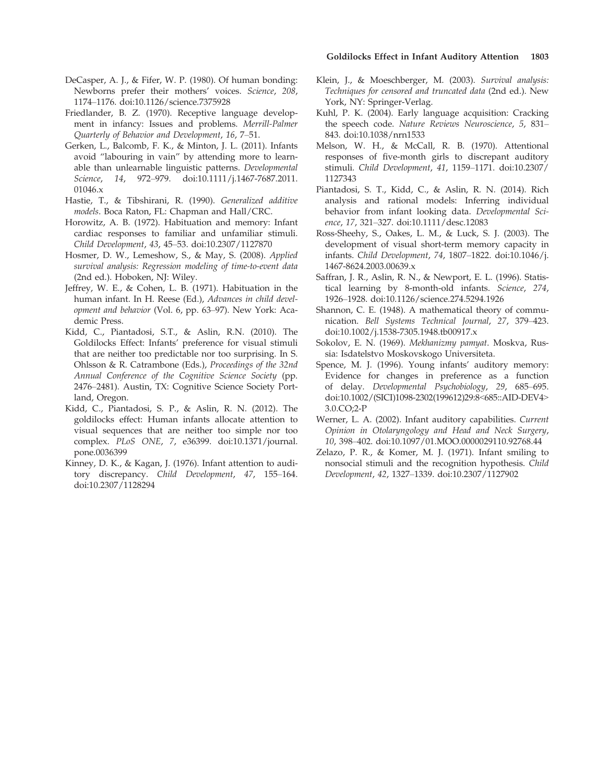- Friedlander, B. Z. (1970). Receptive language development in infancy: Issues and problems. Merrill-Palmer Quarterly of Behavior and Development, 16, 7–51.
- Gerken, L., Balcomb, F. K., & Minton, J. L. (2011). Infants avoid "labouring in vain" by attending more to learnable than unlearnable linguistic patterns. Developmental Science, 14, 972–979. doi:10.1111/j.1467-7687.2011. 01046.x
- Hastie, T., & Tibshirani, R. (1990). Generalized additive models. Boca Raton, FL: Chapman and Hall/CRC.
- Horowitz, A. B. (1972). Habituation and memory: Infant cardiac responses to familiar and unfamiliar stimuli. Child Development, 43, 45–53. doi:10.2307/1127870
- Hosmer, D. W., Lemeshow, S., & May, S. (2008). Applied survival analysis: Regression modeling of time-to-event data (2nd ed.). Hoboken, NJ: Wiley.
- Jeffrey, W. E., & Cohen, L. B. (1971). Habituation in the human infant. In H. Reese (Ed.), Advances in child development and behavior (Vol. 6, pp. 63–97). New York: Academic Press.
- Kidd, C., Piantadosi, S.T., & Aslin, R.N. (2010). The Goldilocks Effect: Infants' preference for visual stimuli that are neither too predictable nor too surprising. In S. Ohlsson & R. Catrambone (Eds.), Proceedings of the 32nd Annual Conference of the Cognitive Science Society (pp. 2476–2481). Austin, TX: Cognitive Science Society Portland, Oregon.
- Kidd, C., Piantadosi, S. P., & Aslin, R. N. (2012). The goldilocks effect: Human infants allocate attention to visual sequences that are neither too simple nor too complex. PLoS ONE, 7, e36399. doi:10.1371/journal. pone.0036399
- Kinney, D. K., & Kagan, J. (1976). Infant attention to auditory discrepancy. Child Development, 47, 155–164. doi:10.2307/1128294
- Klein, J., & Moeschberger, M. (2003). Survival analysis: Techniques for censored and truncated data (2nd ed.). New York, NY: Springer-Verlag.
- Kuhl, P. K. (2004). Early language acquisition: Cracking the speech code. Nature Reviews Neuroscience, 5, 831– 843. doi:10.1038/nrn1533
- Melson, W. H., & McCall, R. B. (1970). Attentional responses of five-month girls to discrepant auditory stimuli. Child Development, 41, 1159–1171. doi:10.2307/ 1127343
- Piantadosi, S. T., Kidd, C., & Aslin, R. N. (2014). Rich analysis and rational models: Inferring individual behavior from infant looking data. Developmental Science, 17, 321–327. doi:10.1111/desc.12083
- Ross-Sheehy, S., Oakes, L. M., & Luck, S. J. (2003). The development of visual short-term memory capacity in infants. Child Development, 74, 1807–1822. doi:10.1046/j. 1467-8624.2003.00639.x
- Saffran, J. R., Aslin, R. N., & Newport, E. L. (1996). Statistical learning by 8-month-old infants. Science, 274, 1926–1928. doi:10.1126/science.274.5294.1926
- Shannon, C. E. (1948). A mathematical theory of communication. Bell Systems Technical Journal, 27, 379–423. doi:10.1002/j.1538-7305.1948.tb00917.x
- Sokolov, E. N. (1969). Mekhanizmy pamyat. Moskva, Russia: Isdatelstvo Moskovskogo Universiteta.
- Spence, M. J. (1996). Young infants' auditory memory: Evidence for changes in preference as a function of delay. Developmental Psychobiology, 29, 685–695. doi:10.1002/(SICI)1098-2302(199612)29:8<685::AID-DEV4> 3.0.CO;2-P
- Werner, L. A. (2002). Infant auditory capabilities. Current Opinion in Otolaryngology and Head and Neck Surgery, 10, 398–402. doi:10.1097/01.MOO.0000029110.92768.44
- Zelazo, P. R., & Komer, M. J. (1971). Infant smiling to nonsocial stimuli and the recognition hypothesis. Child Development, 42, 1327–1339. doi:10.2307/1127902